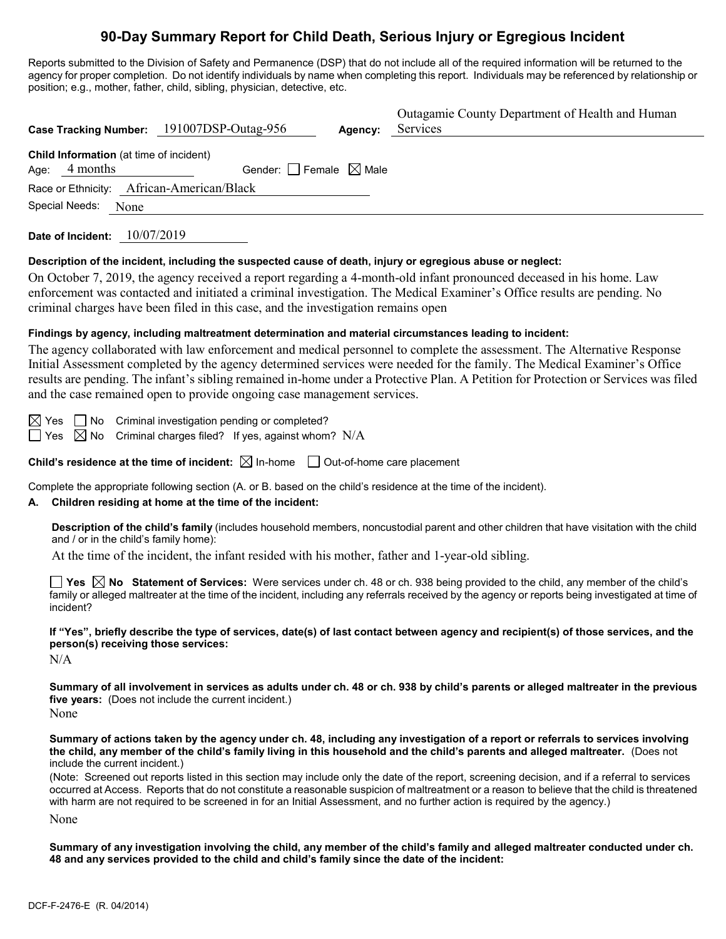## **90-Day Summary Report for Child Death, Serious Injury or Egregious Incident**

Reports submitted to the Division of Safety and Permanence (DSP) that do not include all of the required information will be returned to the agency for proper completion. Do not identify individuals by name when completing this report. Individuals may be referenced by relationship or position; e.g., mother, father, child, sibling, physician, detective, etc.

| Case Tracking Number: 191007DSP-Outag-956<br>Agency:                                                                                                                                                                                                                                                                                                                                                                                                                  | Outagamie County Department of Health and Human<br>Services |  |  |  |
|-----------------------------------------------------------------------------------------------------------------------------------------------------------------------------------------------------------------------------------------------------------------------------------------------------------------------------------------------------------------------------------------------------------------------------------------------------------------------|-------------------------------------------------------------|--|--|--|
|                                                                                                                                                                                                                                                                                                                                                                                                                                                                       |                                                             |  |  |  |
| Child Information (at time of incident)<br>Age: 4 months<br>Gender: $\Box$ Female $\boxtimes$ Male                                                                                                                                                                                                                                                                                                                                                                    |                                                             |  |  |  |
| Race or Ethnicity: African-American/Black                                                                                                                                                                                                                                                                                                                                                                                                                             |                                                             |  |  |  |
| Special Needs:<br>None                                                                                                                                                                                                                                                                                                                                                                                                                                                |                                                             |  |  |  |
| Date of Incident: 10/07/2019                                                                                                                                                                                                                                                                                                                                                                                                                                          |                                                             |  |  |  |
| Description of the incident, including the suspected cause of death, injury or egregious abuse or neglect:                                                                                                                                                                                                                                                                                                                                                            |                                                             |  |  |  |
| On October 7, 2019, the agency received a report regarding a 4-month-old infant pronounced deceased in his home. Law<br>enforcement was contacted and initiated a criminal investigation. The Medical Examiner's Office results are pending. No<br>criminal charges have been filed in this case, and the investigation remains open                                                                                                                                  |                                                             |  |  |  |
| Findings by agency, including maltreatment determination and material circumstances leading to incident:                                                                                                                                                                                                                                                                                                                                                              |                                                             |  |  |  |
| The agency collaborated with law enforcement and medical personnel to complete the assessment. The Alternative Response<br>Initial Assessment completed by the agency determined services were needed for the family. The Medical Examiner's Office<br>results are pending. The infant's sibling remained in-home under a Protective Plan. A Petition for Protection or Services was filed<br>and the case remained open to provide ongoing case management services. |                                                             |  |  |  |
| $\boxtimes$ Yes $\Box$ No Criminal investigation pending or completed?<br>Criminal charges filed? If yes, against whom? $N/A$<br>$\Box$ Yes $\boxtimes$ No                                                                                                                                                                                                                                                                                                            |                                                             |  |  |  |
| Child's residence at the time of incident: $\boxtimes$ In-home $\Box$ Out-of-home care placement                                                                                                                                                                                                                                                                                                                                                                      |                                                             |  |  |  |
| Complete the appropriate following section (A. or B. based on the child's residence at the time of the incident).<br>Children residing at home at the time of the incident:<br>А.                                                                                                                                                                                                                                                                                     |                                                             |  |  |  |
| Description of the child's family (includes household members, noncustodial parent and other children that have visitation with the child<br>and / or in the child's family home):                                                                                                                                                                                                                                                                                    |                                                             |  |  |  |
| At the time of the incident, the infant resided with his mother, father and 1-year-old sibling.                                                                                                                                                                                                                                                                                                                                                                       |                                                             |  |  |  |
| $\Box$ Yes $\boxtimes$ No Statement of Services: Were services under ch. 48 or ch. 938 being provided to the child, any member of the child's<br>family or alleged maltreater at the time of the incident, including any referrals received by the agency or reports being investigated at time of<br>incident?                                                                                                                                                       |                                                             |  |  |  |
| If "Yes", briefly describe the type of services, date(s) of last contact between agency and recipient(s) of those services, and the<br>person(s) receiving those services:<br>N/A                                                                                                                                                                                                                                                                                     |                                                             |  |  |  |
| Summary of all involvement in services as adults under ch. 48 or ch. 938 by child's parents or alleged maltreater in the previous<br>five years: (Does not include the current incident.)<br>None                                                                                                                                                                                                                                                                     |                                                             |  |  |  |
| Summary of actions taken by the agency under ch. 48, including any investigation of a report or referrals to services involving<br>the child, any member of the child's family living in this household and the child's parents and alleged maltreater. (Does not<br>include the current incident.)                                                                                                                                                                   |                                                             |  |  |  |
| (Note: Screened out reports listed in this section may include only the date of the report, screening decision, and if a referral to services<br>occurred at Access. Reports that do not constitute a reasonable suspicion of maltreatment or a reason to believe that the child is threatened<br>with harm are not required to be screened in for an Initial Assessment, and no further action is required by the agency.)                                           |                                                             |  |  |  |

None

**Summary of any investigation involving the child, any member of the child's family and alleged maltreater conducted under ch. 48 and any services provided to the child and child's family since the date of the incident:**